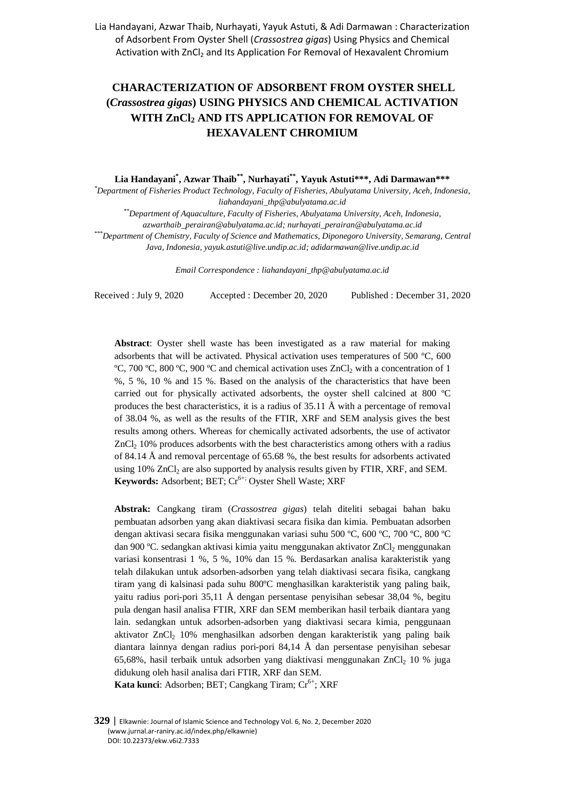# **CHARACTERIZATION OF ADSORBENT FROM OYSTER SHELL (***Crassostrea gigas***) USING PHYSICS AND CHEMICAL ACTIVATION WITH ZnCl<sup>2</sup> AND ITS APPLICATION FOR REMOVAL OF HEXAVALENT CHROMIUM**

**Lia Handayani\* , Azwar Thaib\*\*, Nurhayati\*\* , Yayuk Astuti\*\*\*, Adi Darmawan\*\*\***

*\*Department of Fisheries Product Technology, Faculty of Fisheries, Abulyatama University, Aceh, Indonesia, liahandayani\_thp@abulyatama.ac.id*

*\*\*Department of Aquaculture, Faculty of Fisheries, Abulyatama University, Aceh, Indonesia,* 

*azwarthaib\_perairan@abulyatama.ac.id; nurhayati\_perairan@abulyatama.ac.id*

*\*\*\*Department of Chemistry, Faculty of Science and Mathematics, Diponegoro University, Semarang, Central* 

*Java, Indonesia, yayuk.astuti@live.undip.ac.id; adidarmawan@live.undip.ac.id*

*Email Correspondence : liahandayani\_thp@abulyatama.ac.id*

Received : July 9, 2020 Accepted : December 20, 2020 Published : December 31, 2020

**Abstract**: Oyster shell waste has been investigated as a raw material for making adsorbents that will be activated. Physical activation uses temperatures of 500 ºC, 600 °C, 700 °C, 800 °C, 900 °C and chemical activation uses  $ZnCl<sub>2</sub>$  with a concentration of 1 %, 5 %, 10 % and 15 %. Based on the analysis of the characteristics that have been carried out for physically activated adsorbents, the oyster shell calcined at 800 ºC produces the best characteristics, it is a radius of  $35.11 \text{ Å}$  with a percentage of removal of 38.04 %, as well as the results of the FTIR, XRF and SEM analysis gives the best results among others. Whereas for chemically activated adsorbents, the use of activator ZnCl<sub>2</sub> 10% produces adsorbents with the best characteristics among others with a radius of 84.14 Å and removal percentage of 65.68 %, the best results for adsorbents activated using  $10\%$  ZnCl<sub>2</sub> are also supported by analysis results given by FTIR, XRF, and SEM. **Keywords:** Adsorbent; BET; Cr<sup>6+;</sup> Oyster Shell Waste; XRF

**Abstrak:** Cangkang tiram (*Crassostrea gigas*) telah diteliti sebagai bahan baku pembuatan adsorben yang akan diaktivasi secara fisika dan kimia. Pembuatan adsorben dengan aktivasi secara fisika menggunakan variasi suhu 500 ºC, 600 ºC, 700 ºC, 800 ºC dan 900 °C. sedangkan aktivasi kimia yaitu menggunakan aktivator ZnCl<sub>2</sub> menggunakan variasi konsentrasi 1 %, 5 %, 10% dan 15 %. Berdasarkan analisa karakteristik yang telah dilakukan untuk adsorben-adsorben yang telah diaktivasi secara fisika, cangkang tiram yang di kalsinasi pada suhu 800ºC menghasilkan karakteristik yang paling baik, yaitu radius pori-pori 35,11 Å dengan persentase penyisihan sebesar 38,04 %, begitu pula dengan hasil analisa FTIR, XRF dan SEM memberikan hasil terbaik diantara yang lain. sedangkan untuk adsorben-adsorben yang diaktivasi secara kimia, penggunaan aktivator ZnCl<sub>2</sub> 10% menghasilkan adsorben dengan karakteristik yang paling baik diantara lainnya dengan radius pori-pori 84,14 Å dan persentase penyisihan sebesar 65,68%, hasil terbaik untuk adsorben yang diaktivasi menggunakan  $ZnCl<sub>2</sub> 10$  % juga didukung oleh hasil analisa dari FTIR, XRF dan SEM.

**Kata kunci**: Adsorben; BET; Cangkang Tiram; Cr<sup>6+</sup>; XRF

**329** | Elkawnie: Journal of Islamic Science and Technology Vol. 6, No. 2, December 2020 (www.jurnal.ar-raniry.ac.id/index.php/elkawnie) DOI: 10.22373/ekw.v6i2.7333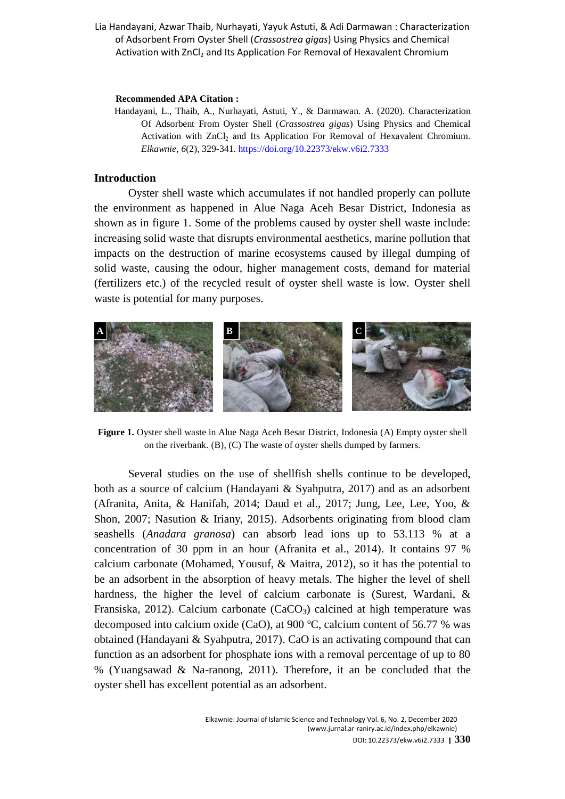#### **Recommended APA Citation :**

Handayani, L., Thaib, A., Nurhayati, Astuti, Y., & Darmawan. A. (2020). Characterization Of Adsorbent From Oyster Shell (*Crassostrea gigas*) Using Physics and Chemical Activation with  $ZnCl<sub>2</sub>$  and Its Application For Removal of Hexavalent Chromium. *Elkawnie*, *6*(2), 329-341. [https://doi.org/10.22373/ekw.v6i2.7333](https://dx.doi.org/10.22373/ekw.v6i2.7333)

### **Introduction**

Oyster shell waste which accumulates if not handled properly can pollute the environment as happened in Alue Naga Aceh Besar District, Indonesia as shown as in figure 1. Some of the problems caused by oyster shell waste include: increasing solid waste that disrupts environmental aesthetics, marine pollution that impacts on the destruction of marine ecosystems caused by illegal dumping of solid waste, causing the odour, higher management costs, demand for material (fertilizers etc.) of the recycled result of oyster shell waste is low. Oyster shell waste is potential for many purposes.



**Figure 1.** Oyster shell waste in Alue Naga Aceh Besar District, Indonesia (A) Empty oyster shell on the riverbank. (B), (C) The waste of oyster shells dumped by farmers.

Several studies on the use of shellfish shells continue to be developed, both as a source of calcium (Handayani & Syahputra, 2017) and as an adsorbent (Afranita, Anita, & Hanifah, 2014; Daud et al., 2017; Jung, Lee, Lee, Yoo, & Shon, 2007; Nasution & Iriany, 2015). Adsorbents originating from blood clam seashells (*Anadara granosa*) can absorb lead ions up to 53.113 % at a concentration of 30 ppm in an hour (Afranita et al., 2014). It contains 97 % calcium carbonate (Mohamed, Yousuf, & Maitra, 2012), so it has the potential to be an adsorbent in the absorption of heavy metals. The higher the level of shell hardness, the higher the level of calcium carbonate is (Surest, Wardani, & Fransiska, 2012). Calcium carbonate (CaCO<sub>3</sub>) calcined at high temperature was decomposed into calcium oxide (CaO), at 900 ºC, calcium content of 56.77 % was obtained (Handayani & Syahputra, 2017). CaO is an activating compound that can function as an adsorbent for phosphate ions with a removal percentage of up to 80 % (Yuangsawad & Na-ranong, 2011). Therefore, it an be concluded that the oyster shell has excellent potential as an adsorbent.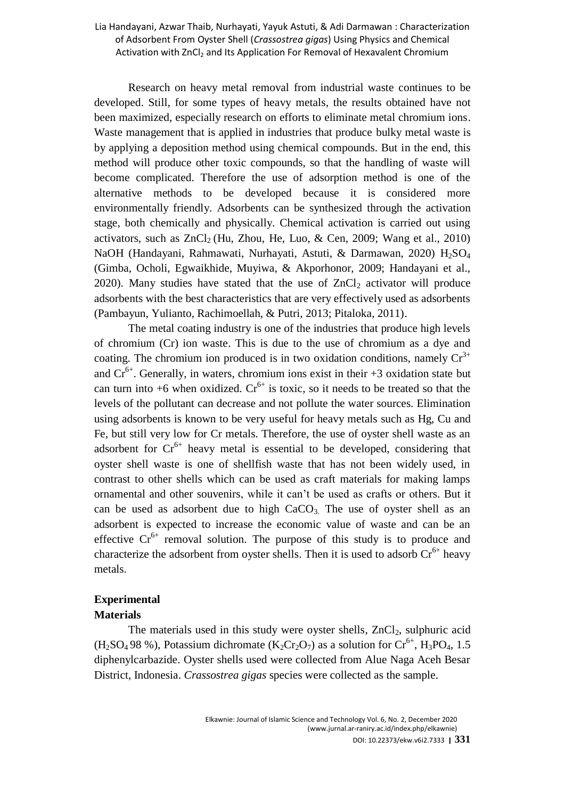Research on heavy metal removal from industrial waste continues to be developed. Still, for some types of heavy metals, the results obtained have not been maximized, especially research on efforts to eliminate metal chromium ions. Waste management that is applied in industries that produce bulky metal waste is by applying a deposition method using chemical compounds. But in the end, this method will produce other toxic compounds, so that the handling of waste will become complicated. Therefore the use of adsorption method is one of the alternative methods to be developed because it is considered more environmentally friendly. Adsorbents can be synthesized through the activation stage, both chemically and physically. Chemical activation is carried out using activators, such as  $ZnCl<sub>2</sub>$  (Hu, Zhou, He, Luo, & Cen, 2009; Wang et al., 2010) NaOH (Handayani, Rahmawati, Nurhayati, Astuti, & Darmawan, 2020) H2SO<sup>4</sup> (Gimba, Ocholi, Egwaikhide, Muyiwa, & Akporhonor, 2009; Handayani et al., 2020). Many studies have stated that the use of  $ZnCl<sub>2</sub>$  activator will produce adsorbents with the best characteristics that are very effectively used as adsorbents (Pambayun, Yulianto, Rachimoellah, & Putri, 2013; Pitaloka, 2011).

The metal coating industry is one of the industries that produce high levels of chromium (Cr) ion waste. This is due to the use of chromium as a dye and coating. The chromium ion produced is in two oxidation conditions, namely  $Cr^{3+}$ and  $Cr^{6+}$ . Generally, in waters, chromium ions exist in their +3 oxidation state but can turn into +6 when oxidized.  $Cr^{6+}$  is toxic, so it needs to be treated so that the levels of the pollutant can decrease and not pollute the water sources. Elimination using adsorbents is known to be very useful for heavy metals such as Hg, Cu and Fe, but still very low for Cr metals. Therefore, the use of oyster shell waste as an adsorbent for  $Cr^{6+}$  heavy metal is essential to be developed, considering that oyster shell waste is one of shellfish waste that has not been widely used, in contrast to other shells which can be used as craft materials for making lamps ornamental and other souvenirs, while it can't be used as crafts or others. But it can be used as adsorbent due to high  $CaCO<sub>3</sub>$ . The use of oyster shell as an adsorbent is expected to increase the economic value of waste and can be an effective  $Cr^{6+}$  removal solution. The purpose of this study is to produce and characterize the adsorbent from oyster shells. Then it is used to adsorb  $Cr^{6+}$  heavy metals.

## **Experimental**

### **Materials**

The materials used in this study were oyster shells,  $ZnCl<sub>2</sub>$ , sulphuric acid  $(H_2SO_4 98 \%)$ , Potassium dichromate  $(K_2Cr_2O_7)$  as a solution for  $Cr^{6+}$ ,  $H_3PO_4$ , 1.5 diphenylcarbazide. Oyster shells used were collected from Alue Naga Aceh Besar District, Indonesia. *Crassostrea gigas* species were collected as the sample.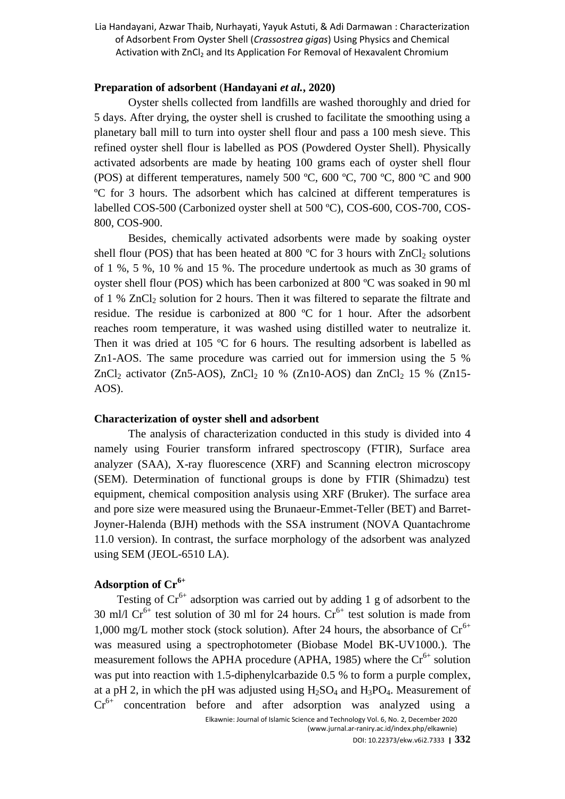### **Preparation of adsorbent** (**Handayani** *et al.***, 2020)**

Oyster shells collected from landfills are washed thoroughly and dried for 5 days. After drying, the oyster shell is crushed to facilitate the smoothing using a planetary ball mill to turn into oyster shell flour and pass a 100 mesh sieve. This refined oyster shell flour is labelled as POS (Powdered Oyster Shell). Physically activated adsorbents are made by heating 100 grams each of oyster shell flour (POS) at different temperatures, namely 500 ºC, 600 ºC, 700 ºC, 800 ºC and 900 ºC for 3 hours. The adsorbent which has calcined at different temperatures is labelled COS-500 (Carbonized oyster shell at 500 ºC), COS-600, COS-700, COS-800, COS-900.

Besides, chemically activated adsorbents were made by soaking oyster shell flour (POS) that has been heated at 800  $^{\circ}$ C for 3 hours with ZnCl<sub>2</sub> solutions of 1 %, 5 %, 10 % and 15 %. The procedure undertook as much as 30 grams of oyster shell flour (POS) which has been carbonized at 800 ºC was soaked in 90 ml of 1 %  $ZnCl<sub>2</sub>$  solution for 2 hours. Then it was filtered to separate the filtrate and residue. The residue is carbonized at 800 ºC for 1 hour. After the adsorbent reaches room temperature, it was washed using distilled water to neutralize it. Then it was dried at 105 °C for 6 hours. The resulting adsorbent is labelled as Zn1-AOS. The same procedure was carried out for immersion using the 5 %  $ZnCl<sub>2</sub>$  activator (Zn5-AOS),  $ZnCl<sub>2</sub>$  10 % (Zn10-AOS) dan  $ZnCl<sub>2</sub>$  15 % (Zn15-AOS).

#### **Characterization of oyster shell and adsorbent**

The analysis of characterization conducted in this study is divided into 4 namely using Fourier transform infrared spectroscopy (FTIR), Surface area analyzer (SAA), X-ray fluorescence (XRF) and Scanning electron microscopy (SEM). Determination of functional groups is done by FTIR (Shimadzu) test equipment, chemical composition analysis using XRF (Bruker). The surface area and pore size were measured using the Brunaeur-Emmet-Teller (BET) and Barret-Joyner-Halenda (BJH) methods with the SSA instrument (NOVA Quantachrome 11.0 version). In contrast, the surface morphology of the adsorbent was analyzed using SEM (JEOL-6510 LA).

# **Adsorption of Cr6+**

Testing of  $Cr^{6+}$  adsorption was carried out by adding 1 g of adsorbent to the 30 ml/l  $Cr^{6+}$  test solution of 30 ml for 24 hours.  $Cr^{6+}$  test solution is made from 1,000 mg/L mother stock (stock solution). After 24 hours, the absorbance of  $Cr^{6+}$ was measured using a spectrophotometer (Biobase Model BK-UV1000.). The measurement follows the APHA procedure (APHA, 1985) where the  $Cr^{6+}$  solution was put into reaction with 1.5-diphenylcarbazide 0.5 % to form a purple complex, at a pH 2, in which the pH was adjusted using  $H<sub>2</sub>SO<sub>4</sub>$  and  $H<sub>3</sub>PO<sub>4</sub>$ . Measurement of  $Cr<sup>6+</sup>$  concentration before and after adsorption was analyzed using a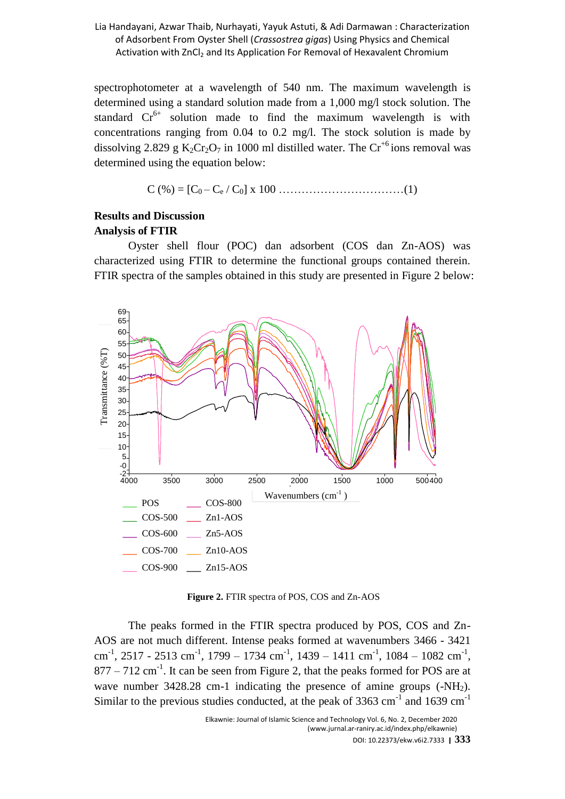spectrophotometer at a wavelength of 540 nm. The maximum wavelength is determined using a standard solution made from a 1,000 mg/l stock solution. The standard  $Cr^{6+}$  solution made to find the maximum wavelength is with concentrations ranging from 0.04 to 0.2 mg/l. The stock solution is made by dissolving 2.829 g K<sub>2</sub>Cr<sub>2</sub>O<sub>7</sub> in 1000 ml distilled water. The Cr<sup>+6</sup> ions removal was determined using the equation below:

C (%) = [C0 – C<sup>e</sup> / C0] x 100 ……………………………(1)

# **Results and Discussion Analysis of FTIR**

Oyster shell flour (POC) dan adsorbent (COS dan Zn-AOS) was characterized using FTIR to determine the functional groups contained therein. FTIR spectra of the samples obtained in this study are presented in Figure 2 below:



**Figure 2.** FTIR spectra of POS, COS and Zn-AOS

The peaks formed in the FTIR spectra produced by POS, COS and Zn-AOS are not much different. Intense peaks formed at wavenumbers 3466 - 3421 cm<sup>-1</sup>, 2517 - 2513 cm<sup>-1</sup>, 1799 – 1734 cm<sup>-1</sup>, 1439 – 1411 cm<sup>-1</sup>, 1084 – 1082 cm<sup>-1</sup>,  $877 - 712$  cm<sup>-1</sup>. It can be seen from Figure 2, that the peaks formed for POS are at wave number 3428.28 cm-1 indicating the presence of amine groups (-NH<sub>2</sub>). Similar to the previous studies conducted, at the peak of 3363 cm<sup>-1</sup> and 1639 cm<sup>-1</sup>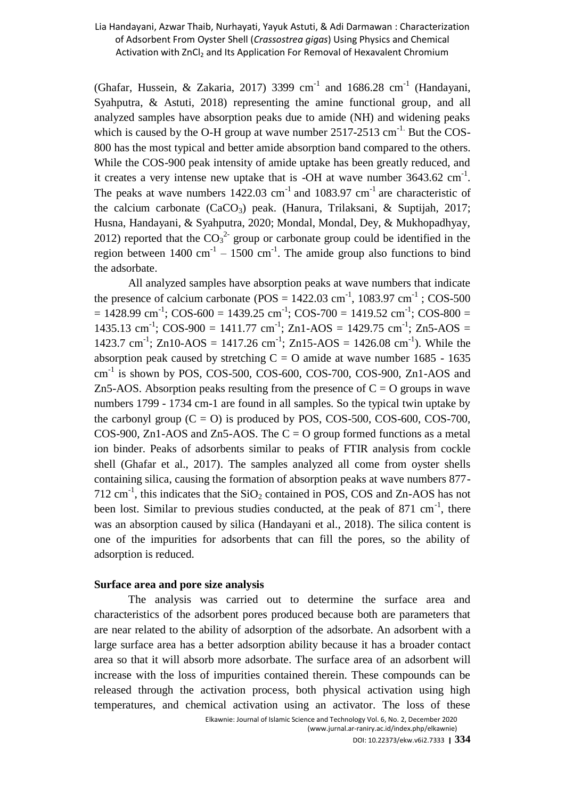(Ghafar, Hussein, & Zakaria, 2017) 3399  $cm^{-1}$  and 1686.28  $cm^{-1}$  (Handayani, Syahputra, & Astuti, 2018) representing the amine functional group, and all analyzed samples have absorption peaks due to amide (NH) and widening peaks which is caused by the O-H group at wave number  $2517-2513$  cm<sup>-1.</sup> But the COS-800 has the most typical and better amide absorption band compared to the others. While the COS-900 peak intensity of amide uptake has been greatly reduced, and it creates a very intense new uptake that is -OH at wave number  $3643.62 \text{ cm}^{-1}$ . The peaks at wave numbers  $1422.03$  cm<sup>-1</sup> and  $1083.97$  cm<sup>-1</sup> are characteristic of the calcium carbonate  $(CaCO_3)$  peak. (Hanura, Trilaksani, & Suptijah, 2017; Husna, Handayani, & Syahputra, 2020; Mondal, Mondal, Dey, & Mukhopadhyay, 2012) reported that the  $CO_3^2$  group or carbonate group could be identified in the region between  $1400 \text{ cm}^{-1} - 1500 \text{ cm}^{-1}$ . The amide group also functions to bind the adsorbate.

All analyzed samples have absorption peaks at wave numbers that indicate the presence of calcium carbonate ( $POS = 1422.03$  cm<sup>-1</sup>, 1083.97 cm<sup>-1</sup>; COS-500  $= 1428.99$  cm<sup>-1</sup>; COS-600 = 1439.25 cm<sup>-1</sup>; COS-700 = 1419.52 cm<sup>-1</sup>; COS-800 = 1435.13 cm<sup>-1</sup>; COS-900 = 1411.77 cm<sup>-1</sup>; Zn1-AOS = 1429.75 cm<sup>-1</sup>; Zn5-AOS = 1423.7 cm<sup>-1</sup>; Zn10-AOS = 1417.26 cm<sup>-1</sup>; Zn15-AOS = 1426.08 cm<sup>-1</sup>). While the absorption peak caused by stretching  $C = O$  amide at wave number 1685 - 1635  $\text{cm}^{-1}$  is shown by POS, COS-500, COS-600, COS-700, COS-900, Zn1-AOS and Zn5-AOS. Absorption peaks resulting from the presence of  $C = O$  groups in wave numbers 1799 - 1734 cm-1 are found in all samples. So the typical twin uptake by the carbonyl group  $(C = 0)$  is produced by POS, COS-500, COS-600, COS-700, COS-900, Zn1-AOS and Zn5-AOS. The  $C = O$  group formed functions as a metal ion binder. Peaks of adsorbents similar to peaks of FTIR analysis from cockle shell (Ghafar et al., 2017). The samples analyzed all come from oyster shells containing silica, causing the formation of absorption peaks at wave numbers 877- 712 cm<sup>-1</sup>, this indicates that the  $SiO_2$  contained in POS, COS and Zn-AOS has not been lost. Similar to previous studies conducted, at the peak of  $871 \text{ cm}^{-1}$ , there was an absorption caused by silica (Handayani et al., 2018). The silica content is one of the impurities for adsorbents that can fill the pores, so the ability of adsorption is reduced.

### **Surface area and pore size analysis**

The analysis was carried out to determine the surface area and characteristics of the adsorbent pores produced because both are parameters that are near related to the ability of adsorption of the adsorbate. An adsorbent with a large surface area has a better adsorption ability because it has a broader contact area so that it will absorb more adsorbate. The surface area of an adsorbent will increase with the loss of impurities contained therein. These compounds can be released through the activation process, both physical activation using high temperatures, and chemical activation using an activator. The loss of these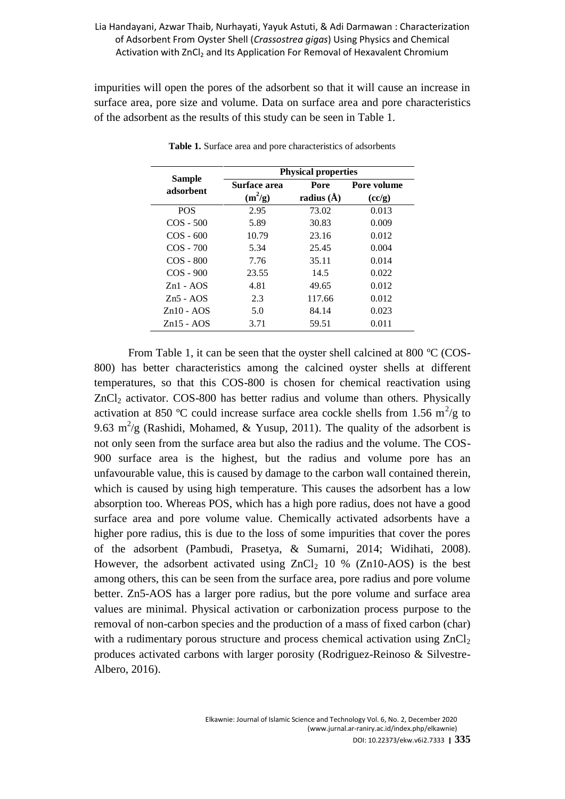impurities will open the pores of the adsorbent so that it will cause an increase in surface area, pore size and volume. Data on surface area and pore characteristics of the adsorbent as the results of this study can be seen in Table 1.

|                     | <b>Physical properties</b> |                      |                       |  |  |  |  |
|---------------------|----------------------------|----------------------|-----------------------|--|--|--|--|
| Sample<br>adsorbent | Surface area               | Pore                 | Pore volume<br>(cc/g) |  |  |  |  |
|                     | $(m^2/g)$                  | radius $(\check{A})$ |                       |  |  |  |  |
| <b>POS</b>          | 2.95                       | 73.02                | 0.013                 |  |  |  |  |
| $COS - 500$         | 5.89                       | 30.83                | 0.009                 |  |  |  |  |
| $COS - 600$         | 10.79                      | 23.16                | 0.012                 |  |  |  |  |
| $COS - 700$         | 5.34                       | 25.45                | 0.004                 |  |  |  |  |
| $COS - 800$         | 7.76                       | 35.11                | 0.014                 |  |  |  |  |
| $COS - 900$         | 23.55                      | 14.5                 | 0.022                 |  |  |  |  |
| $Zn1 - AOS$         | 4.81                       | 49.65                | 0.012                 |  |  |  |  |
| $Zn5 - AOS$         | 2.3                        | 117.66               | 0.012                 |  |  |  |  |
| $Zn10 - AOS$        | 5.0                        | 84.14                | 0.023                 |  |  |  |  |
| $Zn15 - AOS$        | 3.71                       | 59.51                | 0.011                 |  |  |  |  |

**Table 1.** Surface area and pore characteristics of adsorbents

From Table 1, it can be seen that the oyster shell calcined at 800 °C (COS-800) has better characteristics among the calcined oyster shells at different temperatures, so that this COS-800 is chosen for chemical reactivation using  $ZnCl<sub>2</sub>$  activator. COS-800 has better radius and volume than others. Physically activation at 850 °C could increase surface area cockle shells from 1.56  $\text{m}^2/\text{g}$  to 9.63 m<sup>2</sup>/g (Rashidi, Mohamed, & Yusup, 2011). The quality of the adsorbent is not only seen from the surface area but also the radius and the volume. The COS-900 surface area is the highest, but the radius and volume pore has an unfavourable value, this is caused by damage to the carbon wall contained therein, which is caused by using high temperature. This causes the adsorbent has a low absorption too. Whereas POS, which has a high pore radius, does not have a good surface area and pore volume value. Chemically activated adsorbents have a higher pore radius, this is due to the loss of some impurities that cover the pores of the adsorbent (Pambudi, Prasetya, & Sumarni, 2014; Widihati, 2008). However, the adsorbent activated using  $ZnCl<sub>2</sub>$  10 % (Zn10-AOS) is the best among others, this can be seen from the surface area, pore radius and pore volume better. Zn5-AOS has a larger pore radius, but the pore volume and surface area values are minimal. Physical activation or carbonization process purpose to the removal of non-carbon species and the production of a mass of fixed carbon (char) with a rudimentary porous structure and process chemical activation using  $ZnCl<sub>2</sub>$ produces activated carbons with larger porosity (Rodriguez-Reinoso & Silvestre-Albero, 2016).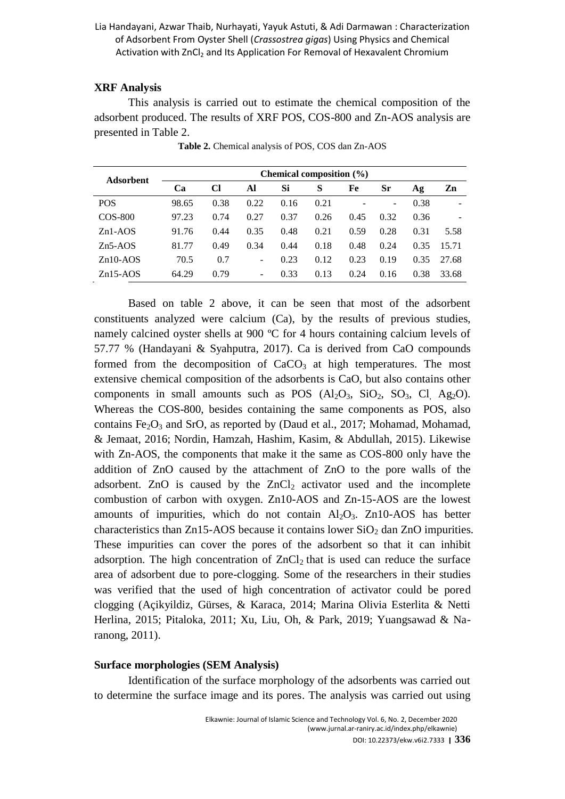### **XRF Analysis**

This analysis is carried out to estimate the chemical composition of the adsorbent produced. The results of XRF POS, COS-800 and Zn-AOS analysis are presented in Table 2.

| <b>Adsorbent</b> | Chemical composition $(\% )$ |      |      |      |      |      |      |      |       |  |
|------------------|------------------------------|------|------|------|------|------|------|------|-------|--|
|                  | Ca                           | Cl   | Al   | Si   | S    | Fe   | Sr   | Ag   | Zn    |  |
| <b>POS</b>       | 98.65                        | 0.38 | 0.22 | 0.16 | 0.21 |      |      | 0.38 |       |  |
| $COS-800$        | 97.23                        | 0.74 | 0.27 | 0.37 | 0.26 | 0.45 | 0.32 | 0.36 |       |  |
| $Zn1-AOS$        | 91.76                        | 0.44 | 0.35 | 0.48 | 0.21 | 0.59 | 0.28 | 0.31 | 5.58  |  |
| $Zn5-AOS$        | 81.77                        | 0.49 | 0.34 | 0.44 | 0.18 | 0.48 | 0.24 | 0.35 | 15.71 |  |
| $Zn10-AOS$       | 70.5                         | 0.7  | Ξ.   | 0.23 | 0.12 | 0.23 | 0.19 | 0.35 | 27.68 |  |
| $Zn15-AOS$       | 64.29                        | 0.79 | ۰    | 0.33 | 0.13 | 0.24 | 0.16 | 0.38 | 33.68 |  |

**Table 2.** Chemical analysis of POS, COS dan Zn-AOS

Based on table 2 above, it can be seen that most of the adsorbent constituents analyzed were calcium (Ca), by the results of previous studies, namely calcined oyster shells at 900 ºC for 4 hours containing calcium levels of 57.77 % (Handayani & Syahputra, 2017). Ca is derived from CaO compounds formed from the decomposition of  $CaCO<sub>3</sub>$  at high temperatures. The most extensive chemical composition of the adsorbents is CaO, but also contains other components in small amounts such as POS  $(AI_2O_3, SiO_2, SO_3, Cl, Ag_2O)$ . Whereas the COS-800, besides containing the same components as POS, also contains  $Fe<sub>2</sub>O<sub>3</sub>$  and SrO, as reported by (Daud et al., 2017; Mohamad, Mohamad, & Jemaat, 2016; Nordin, Hamzah, Hashim, Kasim, & Abdullah, 2015). Likewise with Zn-AOS, the components that make it the same as COS-800 only have the addition of ZnO caused by the attachment of ZnO to the pore walls of the adsorbent. ZnO is caused by the  $ZnCl<sub>2</sub>$  activator used and the incomplete combustion of carbon with oxygen. Zn10-AOS and Zn-15-AOS are the lowest amounts of impurities, which do not contain  $Al_2O_3$ . Zn10-AOS has better characteristics than Zn15-AOS because it contains lower  $SiO<sub>2</sub>$  dan ZnO impurities. These impurities can cover the pores of the adsorbent so that it can inhibit adsorption. The high concentration of  $ZnCl<sub>2</sub>$  that is used can reduce the surface area of adsorbent due to pore-clogging. Some of the researchers in their studies was verified that the used of high concentration of activator could be pored clogging (Açikyildiz, Gürses, & Karaca, 2014; Marina Olivia Esterlita & Netti Herlina, 2015; Pitaloka, 2011; Xu, Liu, Oh, & Park, 2019; Yuangsawad & Naranong, 2011).

### **Surface morphologies (SEM Analysis)**

Identification of the surface morphology of the adsorbents was carried out to determine the surface image and its pores. The analysis was carried out using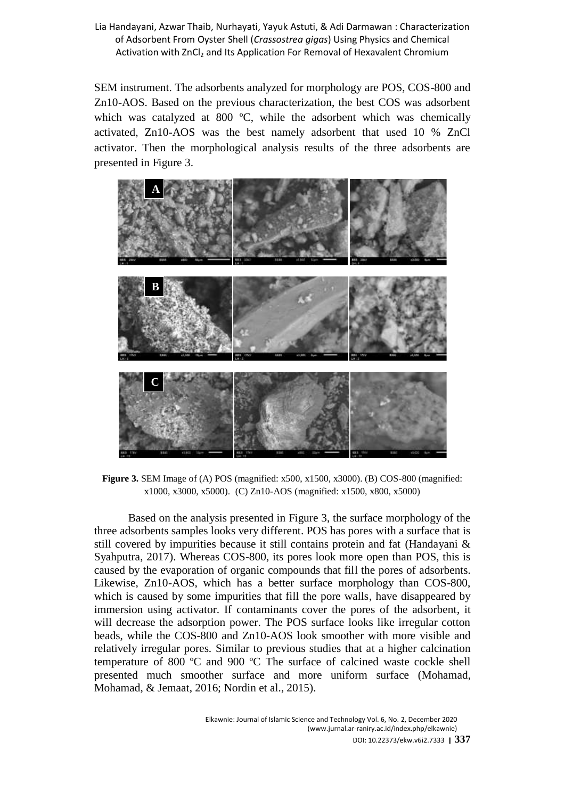SEM instrument. The adsorbents analyzed for morphology are POS, COS-800 and Zn10-AOS. Based on the previous characterization, the best COS was adsorbent which was catalyzed at 800 °C, while the adsorbent which was chemically activated, Zn10-AOS was the best namely adsorbent that used 10 % ZnCl activator. Then the morphological analysis results of the three adsorbents are presented in Figure 3.



**Figure 3.** SEM Image of (A) POS (magnified: x500, x1500, x3000). (B) COS-800 (magnified: x1000, x3000, x5000). (C) Zn10-AOS (magnified: x1500, x800, x5000)

Based on the analysis presented in Figure 3, the surface morphology of the three adsorbents samples looks very different. POS has pores with a surface that is still covered by impurities because it still contains protein and fat (Handayani & Syahputra, 2017). Whereas COS-800, its pores look more open than POS, this is caused by the evaporation of organic compounds that fill the pores of adsorbents. Likewise, Zn10-AOS, which has a better surface morphology than COS-800, which is caused by some impurities that fill the pore walls, have disappeared by immersion using activator. If contaminants cover the pores of the adsorbent, it will decrease the adsorption power. The POS surface looks like irregular cotton beads, while the COS-800 and Zn10-AOS look smoother with more visible and relatively irregular pores. Similar to previous studies that at a higher calcination temperature of 800 ºC and 900 ºC The surface of calcined waste cockle shell presented much smoother surface and more uniform surface (Mohamad, Mohamad, & Jemaat, 2016; Nordin et al., 2015).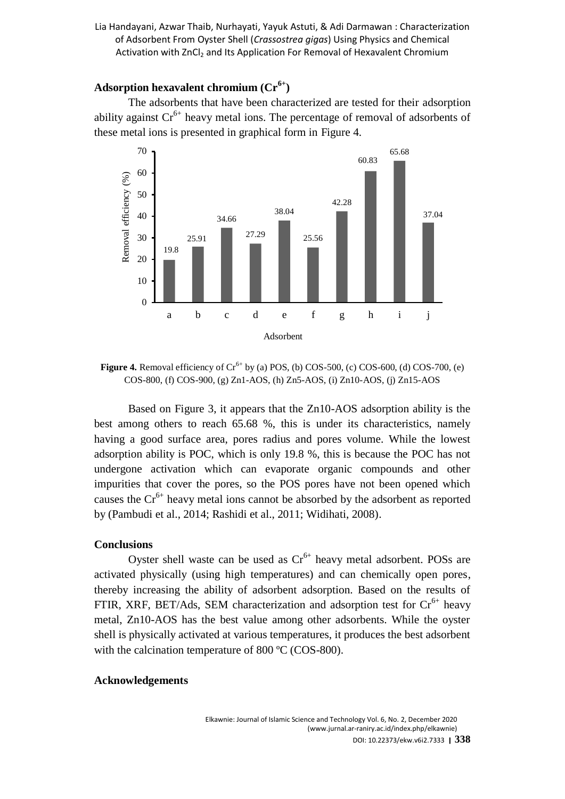## **Adsorption hexavalent chromium (Cr6+)**

The adsorbents that have been characterized are tested for their adsorption ability against  $Cr^{6+}$  heavy metal ions. The percentage of removal of adsorbents of these metal ions is presented in graphical form in Figure 4.



**Figure 4.** Removal efficiency of  $Cr^{6+}$  by (a) POS, (b) COS-500, (c) COS-600, (d) COS-700, (e) COS-800, (f) COS-900, (g) Zn1-AOS, (h) Zn5-AOS, (i) Zn10-AOS, (j) Zn15-AOS

Based on Figure 3, it appears that the Zn10-AOS adsorption ability is the best among others to reach 65.68 %, this is under its characteristics, namely having a good surface area, pores radius and pores volume. While the lowest adsorption ability is POC, which is only 19.8 %, this is because the POC has not undergone activation which can evaporate organic compounds and other impurities that cover the pores, so the POS pores have not been opened which causes the  $Cr^{6+}$  heavy metal ions cannot be absorbed by the adsorbent as reported by (Pambudi et al., 2014; Rashidi et al., 2011; Widihati, 2008).

## **Conclusions**

Oyster shell waste can be used as  $Cr^{6+}$  heavy metal adsorbent. POSs are activated physically (using high temperatures) and can chemically open pores, thereby increasing the ability of adsorbent adsorption. Based on the results of FTIR, XRF, BET/Ads, SEM characterization and adsorption test for  $Cr^{6+}$  heavy metal, Zn10-AOS has the best value among other adsorbents. While the oyster shell is physically activated at various temperatures, it produces the best adsorbent with the calcination temperature of 800 °C (COS-800).

#### **Acknowledgements**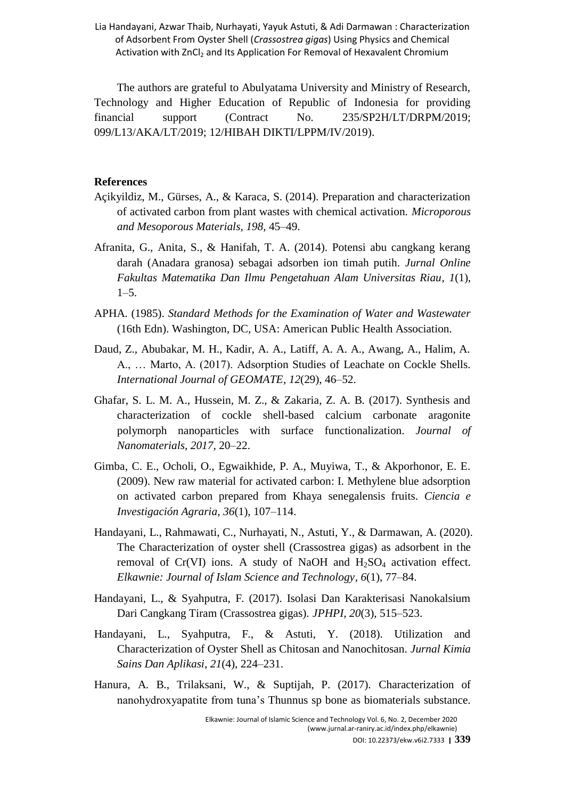The authors are grateful to Abulyatama University and Ministry of Research, Technology and Higher Education of Republic of Indonesia for providing financial support (Contract No. 235/SP2H/LT/DRPM/2019; 099/L13/AKA/LT/2019; 12/HIBAH DIKTI/LPPM/IV/2019).

## **References**

- Açikyildiz, M., Gürses, A., & Karaca, S. (2014). Preparation and characterization of activated carbon from plant wastes with chemical activation. *Microporous and Mesoporous Materials*, *198*, 45–49.
- Afranita, G., Anita, S., & Hanifah, T. A. (2014). Potensi abu cangkang kerang darah (Anadara granosa) sebagai adsorben ion timah putih. *Jurnal Online Fakultas Matematika Dan Ilmu Pengetahuan Alam Universitas Riau*, *1*(1),  $1-5.$
- APHA. (1985). *Standard Methods for the Examination of Water and Wastewater* (16th Edn). Washington, DC, USA: American Public Health Association.
- Daud, Z., Abubakar, M. H., Kadir, A. A., Latiff, A. A. A., Awang, A., Halim, A. A., … Marto, A. (2017). Adsorption Studies of Leachate on Cockle Shells. *International Journal of GEOMATE*, *12*(29), 46–52.
- Ghafar, S. L. M. A., Hussein, M. Z., & Zakaria, Z. A. B. (2017). Synthesis and characterization of cockle shell-based calcium carbonate aragonite polymorph nanoparticles with surface functionalization. *Journal of Nanomaterials*, *2017*, 20–22.
- Gimba, C. E., Ocholi, O., Egwaikhide, P. A., Muyiwa, T., & Akporhonor, E. E. (2009). New raw material for activated carbon: I. Methylene blue adsorption on activated carbon prepared from Khaya senegalensis fruits. *Ciencia e Investigación Agraria*, *36*(1), 107–114.
- Handayani, L., Rahmawati, C., Nurhayati, N., Astuti, Y., & Darmawan, A. (2020). The Characterization of oyster shell (Crassostrea gigas) as adsorbent in the removal of  $Cr(VI)$  ions. A study of NaOH and  $H<sub>2</sub>SO<sub>4</sub>$  activation effect. *Elkawnie: Journal of Islam Science and Technology*, *6*(1), 77–84.
- Handayani, L., & Syahputra, F. (2017). Isolasi Dan Karakterisasi Nanokalsium Dari Cangkang Tiram (Crassostrea gigas). *JPHPI*, *20*(3), 515–523.
- Handayani, L., Syahputra, F., & Astuti, Y. (2018). Utilization and Characterization of Oyster Shell as Chitosan and Nanochitosan. *Jurnal Kimia Sains Dan Aplikasi*, *21*(4), 224–231.
- Hanura, A. B., Trilaksani, W., & Suptijah, P. (2017). Characterization of nanohydroxyapatite from tuna's Thunnus sp bone as biomaterials substance.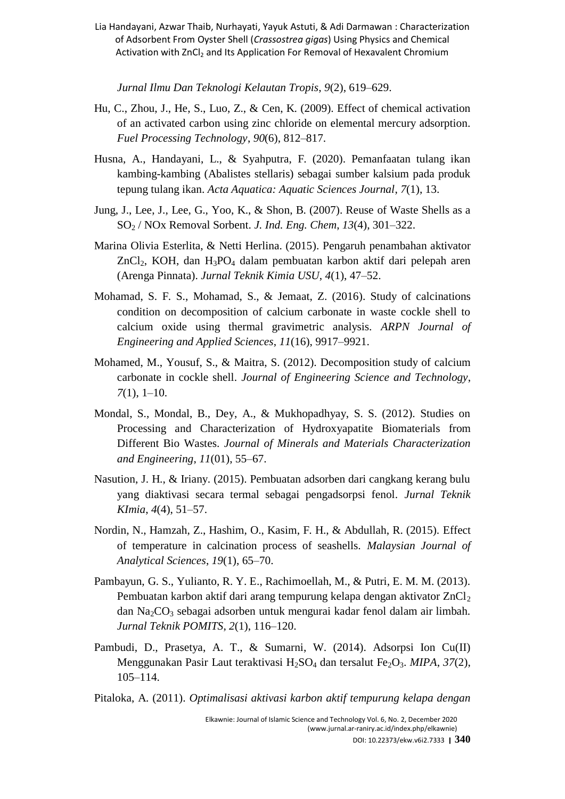*Jurnal Ilmu Dan Teknologi Kelautan Tropis*, *9*(2), 619–629.

- Hu, C., Zhou, J., He, S., Luo, Z., & Cen, K. (2009). Effect of chemical activation of an activated carbon using zinc chloride on elemental mercury adsorption. *Fuel Processing Technology*, *90*(6), 812–817.
- Husna, A., Handayani, L., & Syahputra, F. (2020). Pemanfaatan tulang ikan kambing-kambing (Abalistes stellaris) sebagai sumber kalsium pada produk tepung tulang ikan. *Acta Aquatica: Aquatic Sciences Journal*, *7*(1), 13.
- Jung, J., Lee, J., Lee, G., Yoo, K., & Shon, B. (2007). Reuse of Waste Shells as a SO<sup>2</sup> / NOx Removal Sorbent. *J. Ind. Eng. Chem*, *13*(4), 301–322.
- Marina Olivia Esterlita, & Netti Herlina. (2015). Pengaruh penambahan aktivator ZnCl2, KOH, dan H3PO<sup>4</sup> dalam pembuatan karbon aktif dari pelepah aren (Arenga Pinnata). *Jurnal Teknik Kimia USU*, *4*(1), 47–52.
- Mohamad, S. F. S., Mohamad, S., & Jemaat, Z. (2016). Study of calcinations condition on decomposition of calcium carbonate in waste cockle shell to calcium oxide using thermal gravimetric analysis. *ARPN Journal of Engineering and Applied Sciences*, *11*(16), 9917–9921.
- Mohamed, M., Yousuf, S., & Maitra, S. (2012). Decomposition study of calcium carbonate in cockle shell. *Journal of Engineering Science and Technology*, *7*(1), 1–10.
- Mondal, S., Mondal, B., Dey, A., & Mukhopadhyay, S. S. (2012). Studies on Processing and Characterization of Hydroxyapatite Biomaterials from Different Bio Wastes. *Journal of Minerals and Materials Characterization and Engineering*, *11*(01), 55–67.
- Nasution, J. H., & Iriany. (2015). Pembuatan adsorben dari cangkang kerang bulu yang diaktivasi secara termal sebagai pengadsorpsi fenol. *Jurnal Teknik KImia*, *4*(4), 51–57.
- Nordin, N., Hamzah, Z., Hashim, O., Kasim, F. H., & Abdullah, R. (2015). Effect of temperature in calcination process of seashells. *Malaysian Journal of Analytical Sciences*, *19*(1), 65–70.
- Pambayun, G. S., Yulianto, R. Y. E., Rachimoellah, M., & Putri, E. M. M. (2013). Pembuatan karbon aktif dari arang tempurung kelapa dengan aktivator  $ZnCl<sub>2</sub>$ dan Na2CO<sup>3</sup> sebagai adsorben untuk mengurai kadar fenol dalam air limbah. *Jurnal Teknik POMITS*, *2*(1), 116–120.
- Pambudi, D., Prasetya, A. T., & Sumarni, W. (2014). Adsorpsi Ion Cu(II) Menggunakan Pasir Laut teraktivasi H2SO<sup>4</sup> dan tersalut Fe2O3. *MIPA*, *37*(2), 105–114.

Pitaloka, A. (2011). *Optimalisasi aktivasi karbon aktif tempurung kelapa dengan*